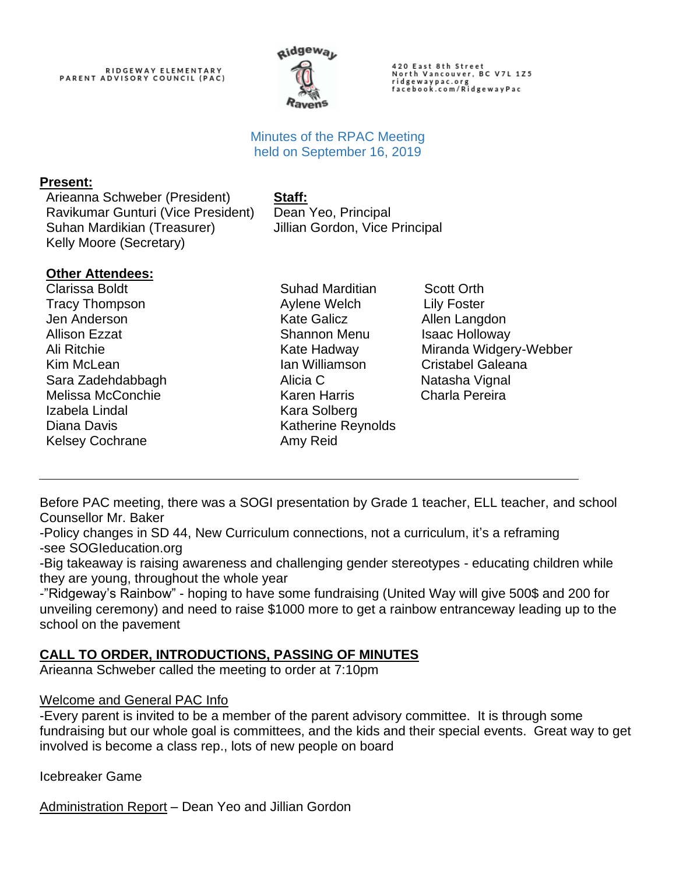# RIDGEWAY ELEMENTARY<br>PARENT ADVISORY COUNCIL (PAC)



420 East 8th Street<br>North Vancouver, BC V7L 1Z5 ridgewaypac.org<br>facebook.com/RidgewayPac

### Minutes of the RPAC Meeting held on September 16, 2019

#### **Present:**

Arieanna Schweber (President) **Staff:** Ravikumar Gunturi (Vice President) Dean Yeo, Principal Suhan Mardikian (Treasurer) Kelly Moore (Secretary)

Jillian Gordon, Vice Principal

#### **Other Attendees:**

Clarissa Boldt Tracy Thompson Jen Anderson Allison Ezzat Ali Ritchie Kim McLean Sara Zadehdabbagh Melissa McConchie Izabela Lindal Diana Davis Kelsey Cochrane

Suhad Marditian Scott Orth Aylene Welch Lily Foster Kate Galicz **Allen Langdon** Shannon Menu Isaac Holloway Ian Williamson Cristabel Galeana Alicia C **Natasha Vignal** Karen Harris Charla Pereira Kara Solberg Katherine Reynolds Amy Reid

Kate Hadway Miranda Widgery-Webber

Before PAC meeting, there was a SOGI presentation by Grade 1 teacher, ELL teacher, and school Counsellor Mr. Baker

-Policy changes in SD 44, New Curriculum connections, not a curriculum, it's a reframing -see SOGIeducation.org

-Big takeaway is raising awareness and challenging gender stereotypes - educating children while they are young, throughout the whole year

-"Ridgeway's Rainbow" - hoping to have some fundraising (United Way will give 500\$ and 200 for unveiling ceremony) and need to raise \$1000 more to get a rainbow entranceway leading up to the school on the pavement

# **CALL TO ORDER, INTRODUCTIONS, PASSING OF MINUTES**

Arieanna Schweber called the meeting to order at 7:10pm

#### Welcome and General PAC Info

-Every parent is invited to be a member of the parent advisory committee. It is through some fundraising but our whole goal is committees, and the kids and their special events. Great way to get involved is become a class rep., lots of new people on board

Icebreaker Game

Administration Report – Dean Yeo and Jillian Gordon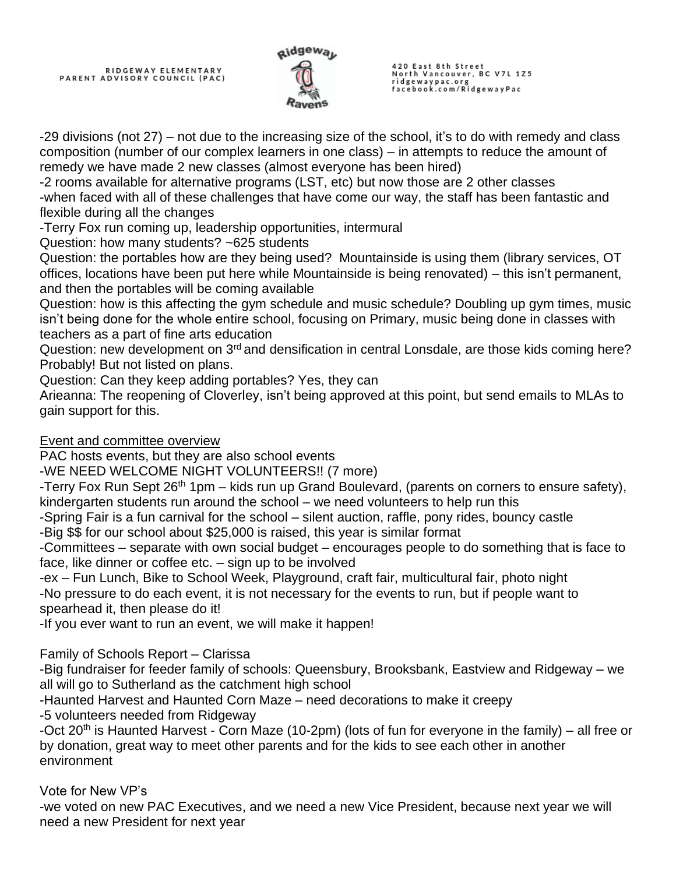

420 East 8th Street<br>North Vancouver, BC V7L 1Z5 ridgewaypac.org<br>facebook.com/RidgewayPac

-29 divisions (not 27) – not due to the increasing size of the school, it's to do with remedy and class composition (number of our complex learners in one class) – in attempts to reduce the amount of remedy we have made 2 new classes (almost everyone has been hired)

-2 rooms available for alternative programs (LST, etc) but now those are 2 other classes -when faced with all of these challenges that have come our way, the staff has been fantastic and flexible during all the changes

-Terry Fox run coming up, leadership opportunities, intermural

Question: how many students? ~625 students

Question: the portables how are they being used? Mountainside is using them (library services, OT offices, locations have been put here while Mountainside is being renovated) – this isn't permanent, and then the portables will be coming available

Question: how is this affecting the gym schedule and music schedule? Doubling up gym times, music isn't being done for the whole entire school, focusing on Primary, music being done in classes with teachers as a part of fine arts education

Question: new development on 3<sup>rd</sup> and densification in central Lonsdale, are those kids coming here? Probably! But not listed on plans.

Question: Can they keep adding portables? Yes, they can

Arieanna: The reopening of Cloverley, isn't being approved at this point, but send emails to MLAs to gain support for this.

Event and committee overview

PAC hosts events, but they are also school events

-WE NEED WELCOME NIGHT VOLUNTEERS!! (7 more)

-Terry Fox Run Sept 26<sup>th</sup> 1pm – kids run up Grand Boulevard, (parents on corners to ensure safety), kindergarten students run around the school – we need volunteers to help run this

-Spring Fair is a fun carnival for the school – silent auction, raffle, pony rides, bouncy castle

-Big \$\$ for our school about \$25,000 is raised, this year is similar format

-Committees – separate with own social budget – encourages people to do something that is face to face, like dinner or coffee etc. – sign up to be involved

-ex – Fun Lunch, Bike to School Week, Playground, craft fair, multicultural fair, photo night -No pressure to do each event, it is not necessary for the events to run, but if people want to spearhead it, then please do it!

-If you ever want to run an event, we will make it happen!

Family of Schools Report – Clarissa

-Big fundraiser for feeder family of schools: Queensbury, Brooksbank, Eastview and Ridgeway – we all will go to Sutherland as the catchment high school

-Haunted Harvest and Haunted Corn Maze – need decorations to make it creepy

-5 volunteers needed from Ridgeway

-Oct 20<sup>th</sup> is Haunted Harvest - Corn Maze (10-2pm) (lots of fun for everyone in the family) – all free or by donation, great way to meet other parents and for the kids to see each other in another environment

Vote for New VP's

-we voted on new PAC Executives, and we need a new Vice President, because next year we will need a new President for next year